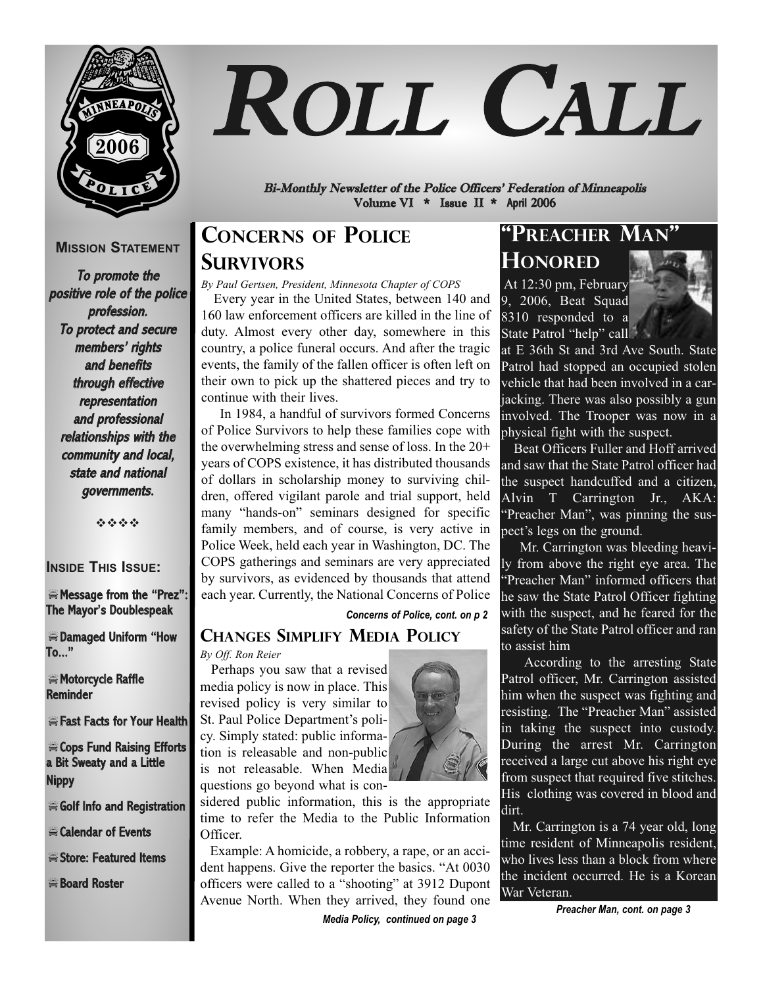

# ROLL CALL

Bi-Monthly Newsletter of the Police Officers' Federation of Minneapolis Volume VI \* Issue II \* April 2006

#### **MISSION STATEMENT**

To promote the positive role of the police profession. To protect and secure members' rights and benefits through effective representation and professional relationships with the community and local, state and national governments.

----

#### **INSIDE THIS ISSUE:**

-Message from the "Prez": The Mayor's Doublespeak

-Damaged Uniform "How To..."

 $\equiv$  Motorcycle Raffle **Reminder** 

-Fast Facts for Your Health

-Cops Fund Raising Efforts a Bit Sweaty and a Little Nippy

Golf Info and Registration

-Calendar of Events

Store: Featured Items

-Board Roster

# **CONCERNS OF POLICE SURVIVORS**

*By Paul Gertsen, President, Minnesota Chapter of COPS*  Every year in the United States, between 140 and 160 law enforcement officers are killed in the line of duty. Almost every other day, somewhere in this country, a police funeral occurs. And after the tragic events, the family of the fallen officer is often left on their own to pick up the shattered pieces and try to continue with their lives.

In 1984, a handful of survivors formed Concerns of Police Survivors to help these families cope with the overwhelming stress and sense of loss. In the 20+ years of COPS existence, it has distributed thousands of dollars in scholarship money to surviving children, offered vigilant parole and trial support, held many "hands-on" seminars designed for specific family members, and of course, is very active in Police Week, held each year in Washington, DC. The COPS gatherings and seminars are very appreciated by survivors, as evidenced by thousands that attend each year. Currently, the National Concerns of Police

*Concerns of Police, cont. on p 2*

### **CHANGES SIMPLIFY MEDIA POLICY**

*By Off. Ron Reier*

Perhaps you saw that a revised media policy is now in place. This revised policy is very similar to St. Paul Police Department's policy. Simply stated: public information is releasable and non-public is not releasable. When Media questions go beyond what is con-



sidered public information, this is the appropriate time to refer the Media to the Public Information Officer.

Example: A homicide, a robbery, a rape, or an accident happens. Give the reporter the basics. "At 0030 officers were called to a "shooting" at 3912 Dupont Avenue North. When they arrived, they found one

*Media Policy, continued on page 3*

# **"PREACHER MAN" HONORED**

At 12:30 pm, February 9, 2006, Beat Squad 8310 responded to a State Patrol "help" call



at E 36th St and 3rd Ave South. State Patrol had stopped an occupied stolen vehicle that had been involved in a carjacking. There was also possibly a gun involved. The Trooper was now in a physical fight with the suspect.

Beat Officers Fuller and Hoff arrived and saw that the State Patrol officer had the suspect handcuffed and a citizen, Alvin T Carrington Jr., AKA: "Preacher Man", was pinning the suspect's legs on the ground.

Mr. Carrington was bleeding heavily from above the right eye area. The "Preacher Man" informed officers that he saw the State Patrol Officer fighting with the suspect, and he feared for the safety of the State Patrol officer and ran to assist him

According to the arresting State Patrol officer, Mr. Carrington assisted him when the suspect was fighting and resisting. The "Preacher Man" assisted in taking the suspect into custody. During the arrest Mr. Carrington received a large cut above his right eye from suspect that required five stitches. His clothing was covered in blood and dirt.

Mr. Carrington is a 74 year old, long time resident of Minneapolis resident, who lives less than a block from where the incident occurred. He is a Korean War Veteran.

*Preacher Man, cont. on page 3*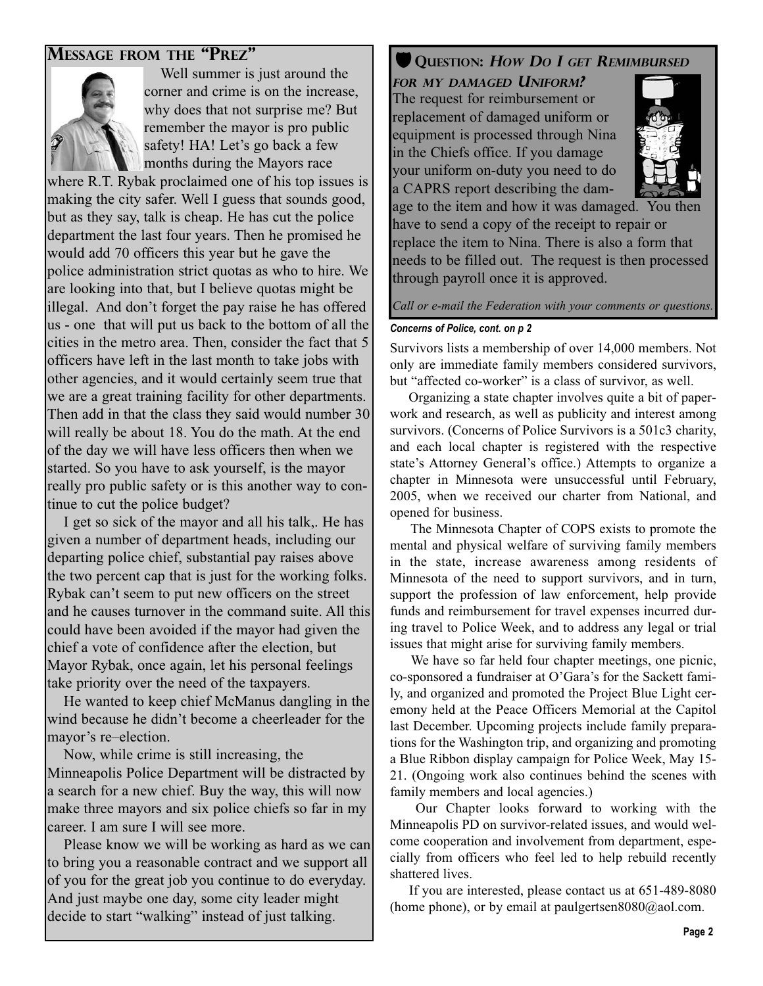#### **MESSAGE FROM THE "PREZ"**



Well summer is just around the corner and crime is on the increase, why does that not surprise me? But remember the mayor is pro public safety! HA! Let's go back a few months during the Mayors race

where R.T. Rybak proclaimed one of his top issues is making the city safer. Well I guess that sounds good, but as they say, talk is cheap. He has cut the police department the last four years. Then he promised he would add 70 officers this year but he gave the police administration strict quotas as who to hire. We are looking into that, but I believe quotas might be illegal. And don't forget the pay raise he has offered us - one that will put us back to the bottom of all the cities in the metro area. Then, consider the fact that 5 officers have left in the last month to take jobs with other agencies, and it would certainly seem true that we are a great training facility for other departments. Then add in that the class they said would number 30 will really be about 18. You do the math. At the end of the day we will have less officers then when we started. So you have to ask yourself, is the mayor really pro public safety or is this another way to continue to cut the police budget?

I get so sick of the mayor and all his talk,. He has given a number of department heads, including our departing police chief, substantial pay raises above the two percent cap that is just for the working folks. Rybak can't seem to put new officers on the street and he causes turnover in the command suite. All this could have been avoided if the mayor had given the chief a vote of confidence after the election, but Mayor Rybak, once again, let his personal feelings take priority over the need of the taxpayers.

He wanted to keep chief McManus dangling in the wind because he didn't become a cheerleader for the mayor's re–election.

Now, while crime is still increasing, the Minneapolis Police Department will be distracted by a search for a new chief. Buy the way, this will now make three mayors and six police chiefs so far in my career. I am sure I will see more.

Please know we will be working as hard as we can to bring you a reasonable contract and we support all of you for the great job you continue to do everyday. And just maybe one day, some city leader might decide to start "walking" instead of just talking.

### **V** QUESTION: HOW DO I GET REMIMBURSED

**FOR MY DAMAGED UNIFORM?** The request for reimbursement or replacement of damaged uniform or equipment is processed through Nina in the Chiefs office. If you damage your uniform on-duty you need to do a CAPRS report describing the dam-



age to the item and how it was damaged. You then have to send a copy of the receipt to repair or replace the item to Nina. There is also a form that needs to be filled out. The request is then processed through payroll once it is approved.

*Call or e-mail the Federation with your comments or questions.* 

#### *Concerns of Police, cont. on p 2*

Survivors lists a membership of over 14,000 members. Not only are immediate family members considered survivors, but "affected co-worker" is a class of survivor, as well.

Organizing a state chapter involves quite a bit of paperwork and research, as well as publicity and interest among survivors. (Concerns of Police Survivors is a 501c3 charity, and each local chapter is registered with the respective state's Attorney General's office.) Attempts to organize a chapter in Minnesota were unsuccessful until February, 2005, when we received our charter from National, and opened for business.

The Minnesota Chapter of COPS exists to promote the mental and physical welfare of surviving family members in the state, increase awareness among residents of Minnesota of the need to support survivors, and in turn, support the profession of law enforcement, help provide funds and reimbursement for travel expenses incurred during travel to Police Week, and to address any legal or trial issues that might arise for surviving family members.

We have so far held four chapter meetings, one picnic, co-sponsored a fundraiser at O'Gara's for the Sackett family, and organized and promoted the Project Blue Light ceremony held at the Peace Officers Memorial at the Capitol last December. Upcoming projects include family preparations for the Washington trip, and organizing and promoting a Blue Ribbon display campaign for Police Week, May 15- 21. (Ongoing work also continues behind the scenes with family members and local agencies.)

Our Chapter looks forward to working with the Minneapolis PD on survivor-related issues, and would welcome cooperation and involvement from department, especially from officers who feel led to help rebuild recently shattered lives.

If you are interested, please contact us at 651-489-8080 (home phone), or by email at paulgertsen $8080@a$  ol.com.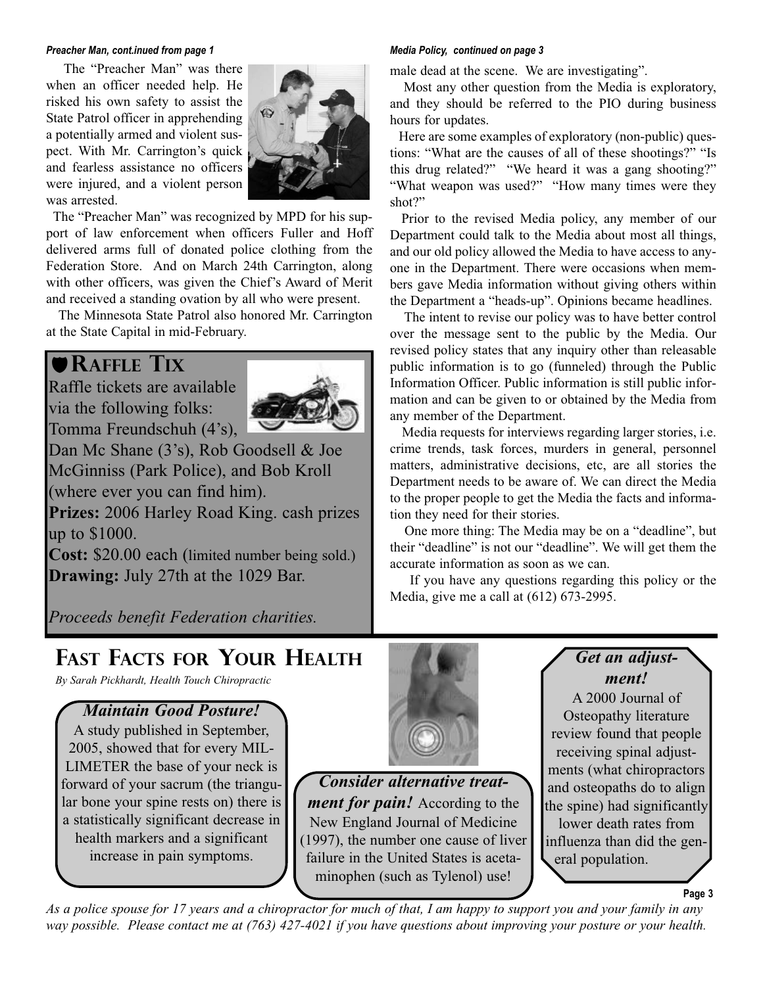#### *Preacher Man, cont.inued from page 1 Media Policy, continued on page 3*

The "Preacher Man" was there when an officer needed help. He risked his own safety to assist the State Patrol officer in apprehending a potentially armed and violent suspect. With Mr. Carrington's quick and fearless assistance no officers were injured, and a violent person was arrested.



The "Preacher Man" was recognized by MPD for his support of law enforcement when officers Fuller and Hoff delivered arms full of donated police clothing from the Federation Store. And on March 24th Carrington, along with other officers, was given the Chief's Award of Merit and received a standing ovation by all who were present.

The Minnesota State Patrol also honored Mr. Carrington at the State Capital in mid-February.

# **RAFFLE TIX**

Raffle tickets are available via the following folks: Tomma Freundschuh (4's),



Dan Mc Shane (3's), Rob Goodsell & Joe McGinniss (Park Police), and Bob Kroll (where ever you can find him).

**Prizes:** 2006 Harley Road King. cash prizes up to \$1000.

**Cost:** \$20.00 each (limited number being sold.) **Drawing:** July 27th at the 1029 Bar.

*Proceeds benefit Federation charities.* 

male dead at the scene. We are investigating".

Most any other question from the Media is exploratory, and they should be referred to the PIO during business hours for updates.

Here are some examples of exploratory (non-public) questions: "What are the causes of all of these shootings?" "Is this drug related?" "We heard it was a gang shooting?" "What weapon was used?" "How many times were they shot?"

Prior to the revised Media policy, any member of our Department could talk to the Media about most all things, and our old policy allowed the Media to have access to anyone in the Department. There were occasions when members gave Media information without giving others within the Department a "heads-up". Opinions became headlines.

The intent to revise our policy was to have better control over the message sent to the public by the Media. Our revised policy states that any inquiry other than releasable public information is to go (funneled) through the Public Information Officer. Public information is still public information and can be given to or obtained by the Media from any member of the Department.

Media requests for interviews regarding larger stories, i.e. crime trends, task forces, murders in general, personnel matters, administrative decisions, etc, are all stories the Department needs to be aware of. We can direct the Media to the proper people to get the Media the facts and information they need for their stories.

One more thing: The Media may be on a "deadline", but their "deadline" is not our "deadline". We will get them the accurate information as soon as we can.

If you have any questions regarding this policy or the Media, give me a call at (612) 673-2995.

*vigilant parole and trial support, held many "hands-on"*

# **FAST FACTS FOR YOUR HEALTH**

*By Sarah Pickhardt, Health Touch Chiropractic*

#### *Maintain Good Posture!*

A study published in September, 2005, showed that for every MIL-LIMETER the base of your neck is forward of your sacrum (the triangular bone your spine rests on) there is a statistically significant decrease in health markers and a significant increase in pain symptoms.



*Consider alternative treatment for pain!* According to the New England Journal of Medicine (1997), the number one cause of liver failure in the United States is acetaminophen (such as Tylenol) use!

## *Get an adjustment!*

A 2000 Journal of Osteopathy literature review found that people receiving spinal adjustments (what chiropractors and osteopaths do to align the spine) had significantly lower death rates from influenza than did the general population.

**Page 3**

*As a police spouse for 17 years and a chiropractor for much of that, I am happy to support you and your family in any way possible. Please contact me at (763) 427-4021 if you have questions about improving your posture or your health.*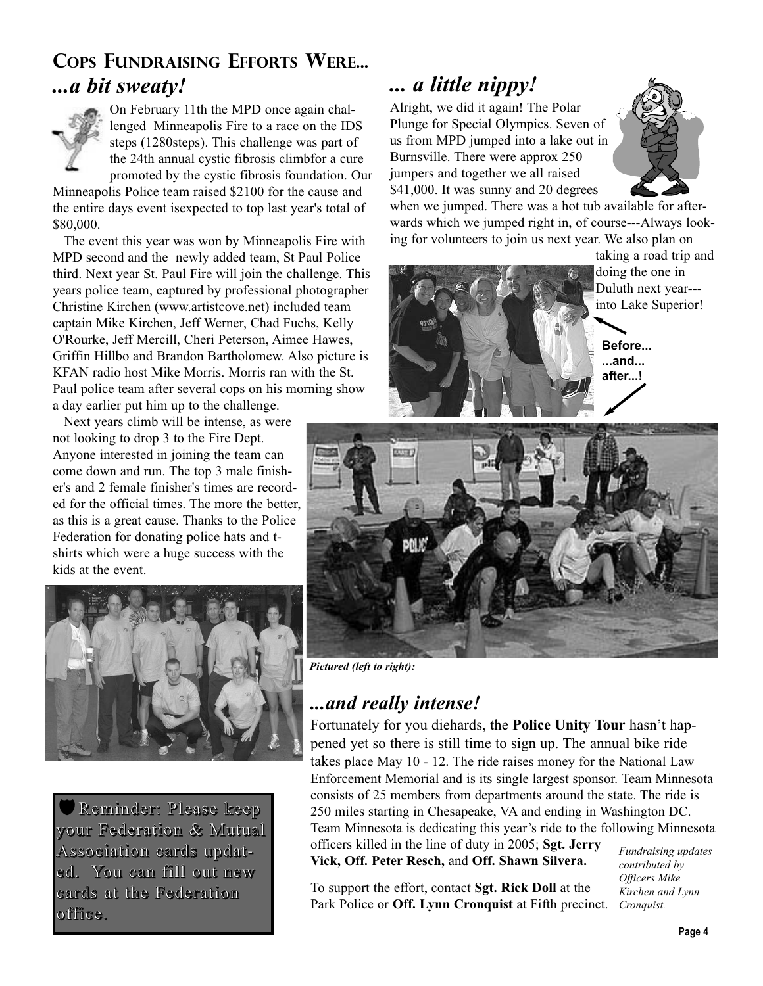# **COPS FUNDRAISING EFFORTS WERE...** *...a bit sweaty!*



On February 11th the MPD once again challenged Minneapolis Fire to a race on the IDS steps (1280steps). This challenge was part of the 24th annual cystic fibrosis climbfor a cure promoted by the cystic fibrosis foundation. Our

Minneapolis Police team raised \$2100 for the cause and the entire days event isexpected to top last year's total of \$80,000.

The event this year was won by Minneapolis Fire with MPD second and the newly added team, St Paul Police third. Next year St. Paul Fire will join the challenge. This years police team, captured by professional photographer Christine Kirchen (www.artistcove.net) included team captain Mike Kirchen, Jeff Werner, Chad Fuchs, Kelly O'Rourke, Jeff Mercill, Cheri Peterson, Aimee Hawes, Griffin Hillbo and Brandon Bartholomew. Also picture is KFAN radio host Mike Morris. Morris ran with the St. Paul police team after several cops on his morning show a day earlier put him up to the challenge.

Next years climb will be intense, as were not looking to drop 3 to the Fire Dept. Anyone interested in joining the team can come down and run. The top 3 male finisher's and 2 female finisher's times are recorded for the official times. The more the better, as this is a great cause. Thanks to the Police Federation for donating police hats and tshirts which were a huge success with the kids at the event.



Reminder: Please keep your Federation & Mutual Association cards updated. You can fill out new cards at the Federation office.

# *... a little nippy!*

Alright, we did it again! The Polar Plunge for Special Olympics. Seven of us from MPD jumped into a lake out in Burnsville. There were approx 250 jumpers and together we all raised \$41,000. It was sunny and 20 degrees

when we jumped. There was a hot tub available for afterwards which we jumped right in, of course---Always looking for volunteers to join us next year. We also plan on

taking a road trip and doing the one in Duluth next year-- into Lake Superior!



**Before... ...and... after...!**



*Pictured (left to right):* 

# *...and really intense!*

Fortunately for you diehards, the **Police Unity Tour** hasn't happened yet so there is still time to sign up. The annual bike ride takes place May 10 - 12. The ride raises money for the National Law Enforcement Memorial and is its single largest sponsor. Team Minnesota consists of 25 members from departments around the state. The ride is 250 miles starting in Chesapeake, VA and ending in Washington DC. Team Minnesota is dedicating this year's ride to the following Minnesota officers killed in the line of duty in 2005; **Sgt. Jerry**

**Vick, Off. Peter Resch,** and **Off. Shawn Silvera.**

To support the effort, contact **Sgt. Rick Doll** at the Park Police or **Off. Lynn Cronquist** at Fifth precinct. *Cronquist.*

*Fundraising updates contributed by Officers Mike Kirchen and Lynn*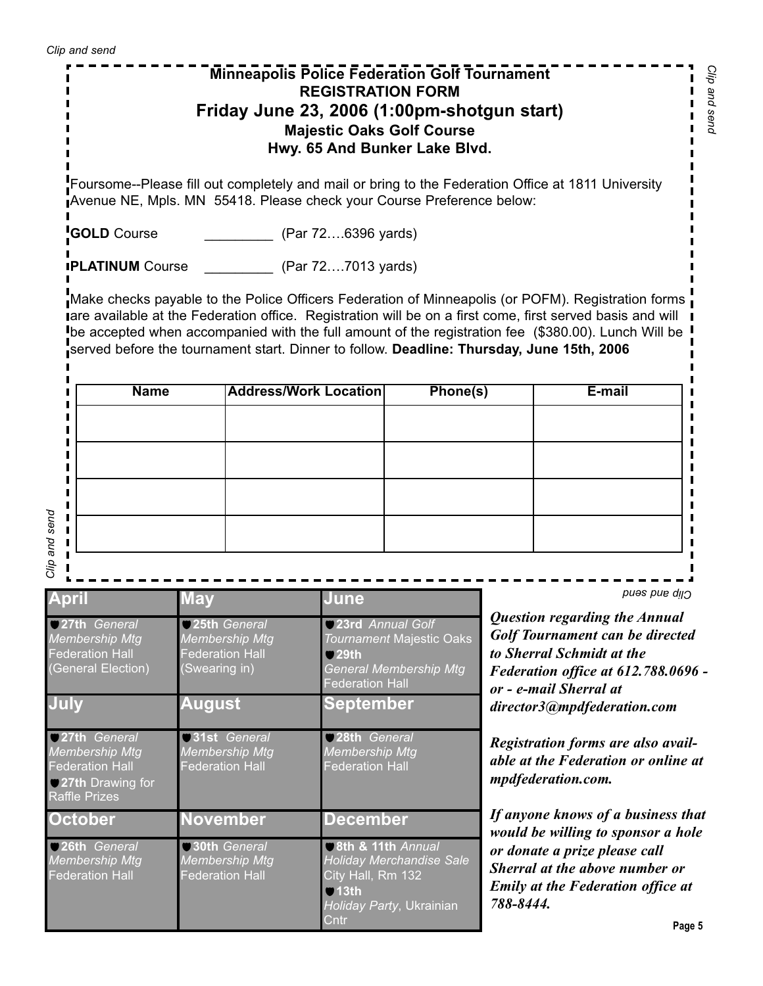# **Minneapolis Police Federation Golf Tournament REGISTRATION FORM Friday June 23, 2006 (1:00pm-shotgun start) Majestic Oaks Golf Course Hwy. 65 And Bunker Lake Blvd.**

Foursome--Please fill out completely and mail or bring to the Federation Office at 1811 University Avenue NE, Mpls. MN 55418. Please check your Course Preference below:

**COLD** Course **COLD** Course **COLD** Course (Par 72....6396 yards)

**PLATINUM** Course **COUTS** (Par 72...7013 yards)

Make checks payable to the Police Officers Federation of Minneapolis (or POFM). Registration forms are available at the Federation office. Registration will be on a first come, first served basis and will be accepted when accompanied with the full amount of the registration fee (\$380.00). Lunch Will be served before the tournament start. Dinner to follow. **Deadline: Thursday, June 15th, 2006** I

| <b>Name</b> | Address/Work Location | Phone(s) | E-mail |
|-------------|-----------------------|----------|--------|
|             |                       |          |        |
|             |                       |          |        |
|             |                       |          |        |
|             |                       |          |        |
|             |                       |          |        |
|             |                       |          |        |
|             |                       |          |        |

Ī

| <b>April</b>                                                                                                | <b>May</b>                                                                       | June                                                                                                                          | pues pue dun                                                                                                                                                                                         |  |
|-------------------------------------------------------------------------------------------------------------|----------------------------------------------------------------------------------|-------------------------------------------------------------------------------------------------------------------------------|------------------------------------------------------------------------------------------------------------------------------------------------------------------------------------------------------|--|
| 27th General<br><b>Membership Mtg</b><br><b>Federation Hall</b><br>(General Election)                       | 25th General<br><b>Membership Mtg</b><br><b>Federation Hall</b><br>(Swearing in) | 23rd Annual Golf<br><b>Tournament Majestic Oaks</b><br>$\Box$ 29th<br><b>General Membership Mtg</b><br><b>Federation Hall</b> | Question regarding the Annual<br>Golf Tournament can be directed<br>to Sherral Schmidt at the<br>Federation office at 612.788.0696 -<br>or - e-mail Sherral at                                       |  |
| July                                                                                                        | August                                                                           | <b>September</b>                                                                                                              | director3@mpdfederation.com                                                                                                                                                                          |  |
| 27th General<br><b>Membership Mtg</b><br><b>Federation Hall</b><br>27th Drawing for<br><b>Raffle Prizes</b> | <b>31st</b> General<br><b>Membership Mtg</b><br><b>Federation Hall</b>           | 28th General<br><b>Membership Mtg</b><br><b>Federation Hall</b>                                                               | Registration forms are also avail-<br>able at the Federation or online at<br>mpdfederation.com.                                                                                                      |  |
| <b>October</b>                                                                                              | <b>November</b>                                                                  | <b>December</b>                                                                                                               | If anyone knows of a business that<br>would be willing to sponsor a hole<br>or donate a prize please call<br>Sherral at the above number or<br><b>Emily at the Federation office at</b><br>788-8444. |  |
| 26th General<br><b>Membership Mtg</b><br><b>Federation Hall</b>                                             | 30th General<br><b>Membership Mtg</b><br><b>Federation Hall</b>                  | 8th & 11th Annual<br><b>Holiday Merchandise Sale</b><br>City Hall, Rm 132<br>$Q$ 13th<br>Holiday Party, Ukrainian             |                                                                                                                                                                                                      |  |
|                                                                                                             |                                                                                  | Cntr                                                                                                                          | Page 5                                                                                                                                                                                               |  |

 $\blacksquare$  $\mathbf{I}$ Ľ  $\mathbf{I}$ 

П